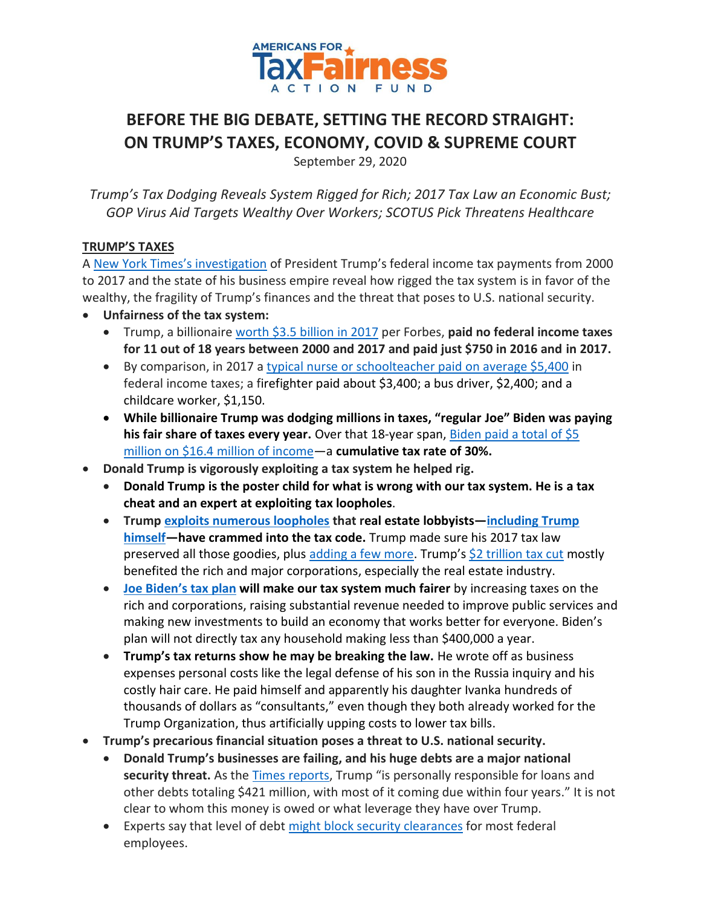

# **BEFORE THE BIG DEBATE, SETTING THE RECORD STRAIGHT: ON TRUMP'S TAXES, ECONOMY, COVID & SUPREME COURT**

September 29, 2020

*Trump's Tax Dodging Reveals System Rigged for Rich; 2017 Tax Law an Economic Bust; GOP Virus Aid Targets Wealthy Over Workers; SCOTUS Pick Threatens Healthcare* 

#### **TRUMP'S TAXES**

A [New York Times's investigation](https://www.nytimes.com/interactive/2020/09/27/us/donald-trump-taxes.html?smid=tw-nytimes&smtyp=cur) of President Trump's federal income tax payments from 2000 to 2017 and the state of his business empire reveal how rigged the tax system is in favor of the wealthy, the fragility of Trump's finances and the threat that poses to U.S. national security.

- **Unfairness of the tax system:**
	- Trump, a billionair[e worth \\$3.5](https://docs.google.com/spreadsheets/d/1JThOdF95e0NYoea5pCWd5UDXLmIGc1Fwj1aajDSYYhk/edit?usp=sharing) billion in 2017 per Forbes, **paid no federal income taxes for 11 out of 18 years between 2000 and 2017 and paid just \$750 in 2016 and in 2017.**
	- By comparison, in 2017 a typical nurse or [schoolteacher paid on average \\$5,400](https://americansfortaxfairness.org/issue/atf-statement-trump-tax-dodging-scandal-revealed-new-york-times/) in federal income taxes; a firefighter paid about \$3,400; a bus driver, \$2,400; and a childcare worker, \$1,150.
	- **While billionaire Trump was dodging millions in taxes, "regular Joe" Biden was paying his fair share of taxes every year.** Over that 18-year span[, Biden paid a total of \\$5](https://atfactionfund.org/while-billionaire-trump-was-dodging-millions-in-taxes-regular-joe-biden-was-paying-his-every-year/)  [million on \\$16.4 million of income](https://atfactionfund.org/while-billionaire-trump-was-dodging-millions-in-taxes-regular-joe-biden-was-paying-his-every-year/)—a **cumulative tax rate of 30%.**
- **Donald Trump is vigorously exploiting a tax system he helped rig.**
	- **Donald Trump is the poster child for what is wrong with our tax system. He is a tax cheat and an expert at exploiting tax loopholes**.
	- **Trump [exploits numerous loopholes](https://itep.sfo2.digitaloceanspaces.com/trumprealestatereport-1.pdf) that real estate lobbyists—[including](https://www.nytimes.com/2016/10/07/us/politics/donald-trump-taxes.html) Trump [himself](https://www.nytimes.com/2016/10/07/us/politics/donald-trump-taxes.html)—have crammed into the tax code.** Trump made sure his 2017 tax law preserved all those goodies, plus [adding a few more.](https://americansfortaxfairness.org/wp-content/uploads/How-Trump-Benefits-from-the-Trump-GOP-Tax-Law-12-22-17-FINAL.pdf) Trump's [\\$2 trillion tax cut](https://americansfortaxfairness.org/promise-will-middle-class-tax-cut/) mostly benefited the rich and major corporations, especially the real estate industry.
	- **[Joe Biden](https://atfactionfund.org/wp-content/uploads/2020/09/4-ATFAF-Joe-Bidens-Tax-Plan-.pdf)'s tax plan will make our tax system much fairer** by increasing taxes on the rich and corporations, raising substantial revenue needed to improve public services and making new investments to build an economy that works better for everyone. Biden's plan will not directly tax any household making less than \$400,000 a year.
	- **Trump's tax returns show he may be breaking the law.** He wrote off as business expenses personal costs like the legal defense of his son in the Russia inquiry and his costly hair care. He paid himself and apparently his daughter Ivanka hundreds of thousands of dollars as "consultants," even though they both already worked for the Trump Organization, thus artificially upping costs to lower tax bills.
- **Trump's precarious financial situation poses a threat to U.S. national security.**
	- **Donald Trump's businesses are failing, and his huge debts are a major national**  security threat. As the [Times reports,](https://www.nytimes.com/interactive/2020/09/27/us/donald-trump-taxes.html?smid=tw-nytimes&smtyp=cur) Trump "is personally responsible for loans and other debts totaling \$421 million, with most of it coming due within four years." It is not clear to whom this money is owed or what leverage they have over Trump.
	- Experts say that level of debt [might block security clearances](https://apnews.com/article/ap-top-news-donald-trump-business-elizabeth-warren-national-security-042cc007c36cf773558bfd250c9701df) for most federal employees.